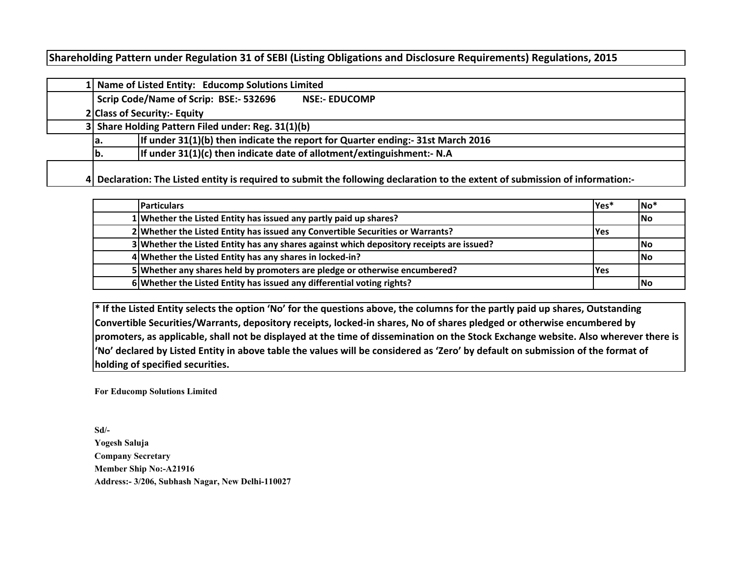# **Shareholding Pattern under Regulation 31 of SEBI (Listing Obligations and Disclosure Requirements) Regulations, 2015**

|  | 1 Name of Listed Entity: Educomp Solutions Limited                                                                            |  |  |  |  |  |  |  |  |  |  |  |  |  |
|--|-------------------------------------------------------------------------------------------------------------------------------|--|--|--|--|--|--|--|--|--|--|--|--|--|
|  | Scrip Code/Name of Scrip: BSE:- 532696<br><b>NSE:- EDUCOMP</b>                                                                |  |  |  |  |  |  |  |  |  |  |  |  |  |
|  | 2 Class of Security:- Equity                                                                                                  |  |  |  |  |  |  |  |  |  |  |  |  |  |
|  | 3 Share Holding Pattern Filed under: Reg. 31(1)(b)                                                                            |  |  |  |  |  |  |  |  |  |  |  |  |  |
|  | If under 31(1)(b) then indicate the report for Quarter ending:- 31st March 2016<br>la.                                        |  |  |  |  |  |  |  |  |  |  |  |  |  |
|  | If under 31(1)(c) then indicate date of allotment/extinguishment:- N.A<br>lb.                                                 |  |  |  |  |  |  |  |  |  |  |  |  |  |
|  |                                                                                                                               |  |  |  |  |  |  |  |  |  |  |  |  |  |
|  | 4 Declaration: The Listed entity is required to submit the following declaration to the extent of submission of information:- |  |  |  |  |  |  |  |  |  |  |  |  |  |

| <b>Particulars</b>                                                                       | Yes*       | $No*$ |
|------------------------------------------------------------------------------------------|------------|-------|
| 1 Whether the Listed Entity has issued any partly paid up shares?                        |            | lNo   |
| 2 Whether the Listed Entity has issued any Convertible Securities or Warrants?           | <b>Yes</b> |       |
| 3 Whether the Listed Entity has any shares against which depository receipts are issued? |            | lNo   |
| 4 Whether the Listed Entity has any shares in locked-in?                                 |            | l No  |
| 5 Whether any shares held by promoters are pledge or otherwise encumbered?               | <b>Yes</b> |       |
| 6 Whether the Listed Entity has issued any differential voting rights?                   |            | lNo   |

**\* If the Listed Entity selects the option 'No' for the questions above, the columns for the partly paid up shares, Outstanding Convertible Securities/Warrants, depository receipts, locked-in shares, No of shares pledged or otherwise encumbered by promoters, as applicable, shall not be displayed at the time of dissemination on the Stock Exchange website. Also wherever there is 'No' declared by Listed Entity in above table the values will be considered as 'Zero' by default on submission of the format of holding of specified securities.**

**For Educomp Solutions Limited**

**Sd/-Yogesh SalujaCompany Secretary Member Ship No:-A21916Address:- 3/206, Subhash Nagar, New Delhi-110027**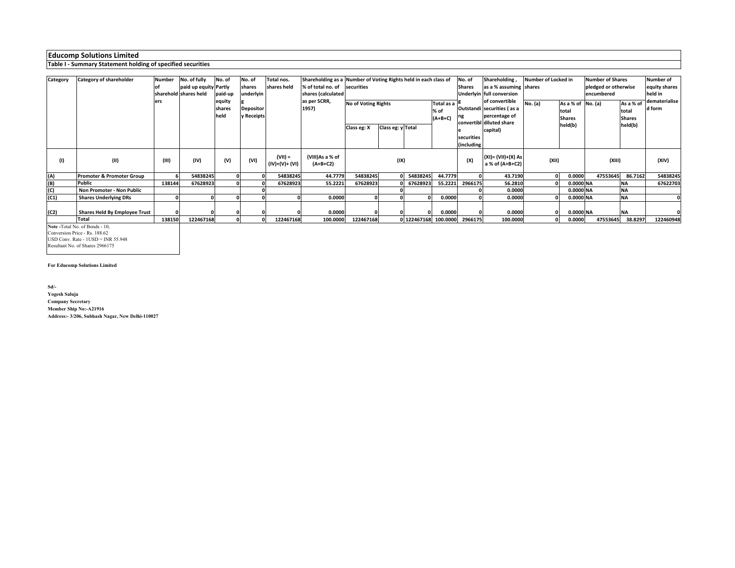#### **Table I - Summary Statement holding of specified securities**

| Category | Category of shareholder       | Number | No. of fully          | No. of                   | No. of                         | Total nos.                  | Shareholding as a Number of Voting Rights held in each class of |                            |                   |                      |                                 | No. of        | Shareholding,                                                                             | Number of Locked in |                                             | <b>Number of Shares</b> |                                     | <b>Number of</b>        |
|----------|-------------------------------|--------|-----------------------|--------------------------|--------------------------------|-----------------------------|-----------------------------------------------------------------|----------------------------|-------------------|----------------------|---------------------------------|---------------|-------------------------------------------------------------------------------------------|---------------------|---------------------------------------------|-------------------------|-------------------------------------|-------------------------|
|          |                               |        | paid up equity Partly |                          | shares                         | shares held                 | % of total no. of securities                                    |                            |                   |                      |                                 | <b>Shares</b> | as a % assuming shares                                                                    |                     |                                             | pledged or otherwise    |                                     | equity shares           |
|          |                               |        | sharehold shares held | paid-up                  | underlyin                      |                             | shares (calculated                                              |                            |                   |                      |                                 |               | Underlyin full conversion                                                                 |                     |                                             | encumbered              |                                     | held in                 |
|          |                               | ers    |                       | equity<br>shares<br>held | <b>Depositor</b><br>y Receipts |                             | as per SCRR,<br>1957)                                           | <b>No of Voting Rights</b> |                   |                      | Total as a<br>% of<br>$(A+B+C)$ |               | of convertible<br>Outstandi securities (as a<br>percentage of<br>convertibl diluted share | No. (a)             | As a % of No. (a)<br>total<br><b>Shares</b> |                         | As a % of<br>total<br><b>Shares</b> | dematerialise<br>d form |
|          |                               |        |                       |                          |                                |                             |                                                                 | Class eg: X                | Class eg: y Total |                      |                                 |               | capital)                                                                                  |                     | held(b)                                     |                         | held(b)                             |                         |
|          |                               |        |                       |                          |                                |                             |                                                                 |                            |                   |                      |                                 | securities    |                                                                                           |                     |                                             |                         |                                     |                         |
|          |                               |        |                       |                          |                                |                             |                                                                 |                            |                   |                      |                                 | (including    |                                                                                           |                     |                                             |                         |                                     |                         |
| (1)      | (II)                          | (III)  | (IV)                  | (V)                      | (VI)                           | $(VII) =$<br>(IV)+(V)+ (VI) | (VIII)As a % of<br>$(A+B+C2)$                                   |                            | (IX)              |                      |                                 | (X)           | (XI)= (VII)+(X) As<br>a % of (A+B+C2)                                                     | (XII)               |                                             | (XIII)                  |                                     | (XIV)                   |
| (A)      | Promoter & Promoter Group     |        | 54838245              |                          |                                | 54838245                    | 44.7779                                                         | 54838245                   |                   | 54838245             | 44.7779                         |               | 43.7190                                                                                   | 01                  | 0.0000                                      | 47553645                | 86.7162                             | 54838245                |
| (B)      | <b>Public</b>                 | 138144 | 67628923              |                          |                                | 67628923                    | 55.2221                                                         | 67628923                   |                   | 67628923             | 55.2221                         | 2966175       | 56.2810                                                                                   |                     | 0.0000 NA                                   |                         | <b>NA</b>                           | 67622703                |
| (C)      | Non Promoter - Non Public     |        |                       |                          |                                |                             |                                                                 |                            |                   |                      |                                 |               | 0.0000                                                                                    |                     | 0.0000 NA                                   |                         | <b>NA</b>                           |                         |
| (C1)     | <b>Shares Underlying DRs</b>  |        |                       |                          |                                |                             | 0.0000                                                          |                            |                   |                      | 0.0000                          |               | 0.0000                                                                                    |                     | 0.0000 NA                                   |                         | <b>NA</b>                           |                         |
|          |                               |        |                       |                          |                                |                             |                                                                 |                            |                   |                      |                                 |               |                                                                                           |                     |                                             |                         |                                     |                         |
| (C2)     | Shares Held By Employee Trust |        |                       |                          |                                |                             | 0.0000                                                          |                            |                   |                      | 0.0000                          |               | 0.0000                                                                                    |                     | 0.0000 NA                                   |                         | <b>NA</b>                           |                         |
|          | <b>Total</b>                  | 138150 | 122467168             |                          |                                | 122467168                   | 100.0000                                                        | 122467168                  |                   | 0 122467168 100.0000 |                                 | 2966175       | 100.0000                                                                                  |                     | 0.0000                                      | 47553645                | 38.8297                             | 122460948               |

**Note -**Total No. of Bonds - 10, Conversion Price - Rs. 188.62 USD Conv. Rate - 1USD = INR 55.948

Resultant No. of Shares 2966175

#### **For Educomp Solutions Limited**

**Sd/-**

 **Yogesh Saluja Company Secretary Member Ship No:-A21916Address:- 3/206, Subhash Nagar, New Delhi-110027**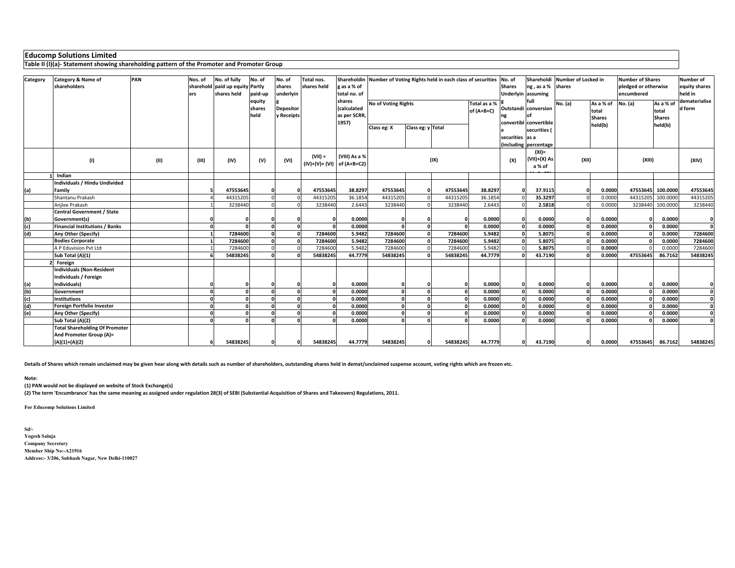**Table II (I)(a)- Statement showing shareholding pattern of the Promoter and Promoter Group**

| Category | Category & Name of<br>shareholders                               | PAN  | Nos. of<br>ers | No. of fully<br>sharehold paid up equity Partly<br>shares held | No. of<br>paid-up<br>equity<br>shares<br>held | No. of<br>shares<br>underlyin<br><b>Depositor</b><br>y Receipts | Total nos.<br>shares held                 | Shareholdin<br>g as a % of<br>total no. of<br>shares<br>(calculated<br>as per SCRR,<br>1957) | Number of Voting Rights held in each class of securities<br><b>No of Voting Rights</b><br>Total as a %<br>of (A+B+C)<br>Class eg: y Total<br>Class eg: X |          |          | No. of<br><b>Shares</b> | Shareholdi<br>ng, as a % shares<br><b>Underlyin assuming</b><br>full<br>Outstandi conversion<br>convertibl convertible<br>securities ( | Number of Locked in<br>No. (a)       | As a % of<br>total<br><b>Shares</b><br>held(b) | <b>Number of Shares</b><br>pledged or otherwise<br>encumbered<br>No. (a) | As a % of<br>total<br><b>Shares</b><br>held(b) | Number of<br>equity shares<br>held in<br>dematerialise<br>d form |              |
|----------|------------------------------------------------------------------|------|----------------|----------------------------------------------------------------|-----------------------------------------------|-----------------------------------------------------------------|-------------------------------------------|----------------------------------------------------------------------------------------------|----------------------------------------------------------------------------------------------------------------------------------------------------------|----------|----------|-------------------------|----------------------------------------------------------------------------------------------------------------------------------------|--------------------------------------|------------------------------------------------|--------------------------------------------------------------------------|------------------------------------------------|------------------------------------------------------------------|--------------|
|          |                                                                  |      |                |                                                                |                                               |                                                                 |                                           |                                                                                              |                                                                                                                                                          |          |          |                         | securities las a                                                                                                                       |                                      |                                                |                                                                          |                                                |                                                                  |              |
|          |                                                                  |      |                |                                                                |                                               |                                                                 |                                           |                                                                                              |                                                                                                                                                          |          |          |                         |                                                                                                                                        | (including percentage                |                                                |                                                                          |                                                |                                                                  |              |
|          | (1)                                                              | (II) | (III)          | (IV)                                                           | (V)                                           | (VI)                                                            | $(VII) =$<br>$(IV)+(V)+(V)$ of $(A+B+C2)$ | (VIII) As a %                                                                                |                                                                                                                                                          |          | (IX)     |                         | (X)                                                                                                                                    | $(XI) =$<br>$(VII)+(X)$ As<br>a % of | (XII)                                          |                                                                          | (XIII)                                         |                                                                  | (XIV)        |
|          | Indian                                                           |      |                |                                                                |                                               |                                                                 |                                           |                                                                                              |                                                                                                                                                          |          |          |                         |                                                                                                                                        |                                      |                                                |                                                                          |                                                |                                                                  |              |
|          | Individuals / Hindu Undivided                                    |      |                |                                                                |                                               |                                                                 |                                           |                                                                                              |                                                                                                                                                          |          |          |                         |                                                                                                                                        |                                      |                                                |                                                                          |                                                |                                                                  |              |
| (a)      | Family                                                           |      |                | 47553645                                                       |                                               |                                                                 | 47553645                                  | 38.8297                                                                                      | 47553645                                                                                                                                                 |          | 47553645 | 38.8297                 | $\sqrt{2}$                                                                                                                             | 37.9115                              |                                                | 0.0000                                                                   | 47553645                                       | 100.0000                                                         | 47553645     |
|          | Shantanu Prakash                                                 |      |                | 44315205                                                       |                                               |                                                                 | 44315205                                  | 36.185                                                                                       | 44315205                                                                                                                                                 |          | 44315205 | 36.1854                 |                                                                                                                                        | 35.3297                              |                                                | 0.0000                                                                   | 44315205                                       | 100.0000                                                         | 44315205     |
|          | Anjlee Prakash<br><b>Central Government / State</b>              |      |                | 3238440                                                        |                                               |                                                                 | 3238440                                   | 2.6443                                                                                       | 3238440                                                                                                                                                  |          | 3238440  | 2.6443                  |                                                                                                                                        | 2.5818                               |                                                | 0.0000                                                                   | 3238440                                        | 100.0000                                                         | 3238440      |
| (b)      | Government(s)                                                    |      |                |                                                                |                                               |                                                                 |                                           | 0.0000                                                                                       |                                                                                                                                                          |          |          | 0.0000                  |                                                                                                                                        | 0.0000                               |                                                | 0.0000                                                                   |                                                | 0.0000                                                           | O            |
| (c)      | <b>Financial Institutions / Banks</b>                            |      |                |                                                                |                                               |                                                                 |                                           | 0.0000                                                                                       |                                                                                                                                                          |          |          | 0.0000                  |                                                                                                                                        | 0.0000                               |                                                | 0.0000                                                                   |                                                | 0.0000                                                           | $\Omega$     |
| (d)      | Any Other (Specify)                                              |      |                | 7284600                                                        |                                               |                                                                 | 7284600                                   | 5.9482                                                                                       | 7284600                                                                                                                                                  |          | 7284600  | 5.9482                  |                                                                                                                                        | 5.8075                               |                                                | 0.0000                                                                   |                                                | 0.0000                                                           | 7284600      |
|          | <b>Bodies Corporate</b>                                          |      |                | 7284600                                                        |                                               |                                                                 | 7284600                                   | 5.9482                                                                                       | 7284600                                                                                                                                                  |          | 7284600  | 5.9482                  |                                                                                                                                        | 5.8075                               |                                                | 0.0000                                                                   |                                                | 0.0000                                                           | 7284600      |
|          | A P Eduvision Pvt Ltd                                            |      |                | 7284600                                                        |                                               |                                                                 | 7284600                                   | 5.9482                                                                                       | 7284600                                                                                                                                                  |          | 7284600  | 5.9482                  |                                                                                                                                        | 5.8075                               |                                                | 0.0000                                                                   |                                                | 0.0000                                                           | 7284600      |
|          | Sub Total (A)(1)                                                 |      |                | 54838245                                                       |                                               |                                                                 | 54838245                                  | 44,7779                                                                                      | 54838245                                                                                                                                                 |          | 54838245 | 44.7779                 |                                                                                                                                        | 43.7190                              |                                                | 0.0000                                                                   | 47553645                                       | 86.7162                                                          | 54838245     |
|          | Foreign                                                          |      |                |                                                                |                                               |                                                                 |                                           |                                                                                              |                                                                                                                                                          |          |          |                         |                                                                                                                                        |                                      |                                                |                                                                          |                                                |                                                                  |              |
|          | <b>Individuals (Non-Resident</b><br>Individuals / Foreign        |      |                |                                                                |                                               |                                                                 |                                           |                                                                                              |                                                                                                                                                          |          |          |                         |                                                                                                                                        |                                      |                                                |                                                                          |                                                |                                                                  |              |
| (a)      | Individuals)                                                     |      |                |                                                                |                                               |                                                                 |                                           | 0.0000                                                                                       |                                                                                                                                                          |          |          | 0.0000                  |                                                                                                                                        | 0.0000                               |                                                | 0.0000                                                                   |                                                | 0.0000                                                           |              |
| (b)      | Government                                                       |      | $\sqrt{2}$     |                                                                |                                               |                                                                 |                                           | 0.0000                                                                                       |                                                                                                                                                          |          |          | 0.0000                  |                                                                                                                                        | 0.0000                               |                                                | 0.0000                                                                   |                                                | 0.0000                                                           | $\mathbf 0$  |
| (c)      | <b>Institutions</b>                                              |      |                |                                                                |                                               |                                                                 |                                           | 0.0000                                                                                       |                                                                                                                                                          |          |          | 0.0000                  |                                                                                                                                        | 0.0000                               |                                                | 0.0000                                                                   |                                                | 0.0000                                                           | $\mathbf 0$  |
| (d)      | Foreign Portfolio Investor                                       |      |                |                                                                |                                               |                                                                 |                                           | 0.0000                                                                                       |                                                                                                                                                          |          |          | 0.0000                  |                                                                                                                                        | 0.0000                               |                                                | 0.0000                                                                   |                                                | 0.0000                                                           | $\mathbf 0$  |
| (e)      | Any Other (Specify)                                              |      | $\sqrt{2}$     |                                                                |                                               |                                                                 |                                           | 0.0000                                                                                       |                                                                                                                                                          |          |          | 0.0000                  |                                                                                                                                        | 0.0000                               |                                                | 0.0000                                                                   |                                                | 0.0000                                                           | $\mathbf{0}$ |
|          | Sub Total (A)(2)                                                 |      | $\sqrt{2}$     |                                                                |                                               |                                                                 |                                           | 0.0000                                                                                       |                                                                                                                                                          | $\Omega$ |          | 0.0000                  |                                                                                                                                        | 0.0000                               |                                                | 0.0000                                                                   |                                                | 0.0000                                                           | $\mathbf{0}$ |
|          | <b>Total Shareholding Of Promoter</b><br>And Promoter Group (A)= |      |                |                                                                |                                               |                                                                 |                                           |                                                                                              |                                                                                                                                                          |          |          |                         |                                                                                                                                        |                                      |                                                |                                                                          |                                                |                                                                  |              |
|          | $(A)(1)+(A)(2)$                                                  |      |                | 54838245                                                       |                                               |                                                                 | 54838245                                  | 44.7779                                                                                      | 54838245                                                                                                                                                 |          | 54838245 | 44.7779                 | $\Omega$                                                                                                                               | 43.7190                              |                                                | 0.0000                                                                   | 47553645                                       | 86.7162                                                          | 54838245     |

**Details of Shares which remain unclaimed may be given hear along with details such as number of shareholders, outstanding shares held in demat/unclaimed suspense account, voting rights which are frozen etc.**

#### **Note:**

**(1) PAN would not be displayed on website of Stock Exchange(s)** 

**(2) The term 'Encumbrance' has the same meaning as assigned under regulation 28(3) of SEBI (Substantial Acquisition of Shares and Takeovers) Regulations, 2011.**

**For Educomp Solutions Limited**

**Sd/- Yogesh Saluja Company Secretary Member Ship No:-A21916Address:- 3/206, Subhash Nagar, New Delhi-110027**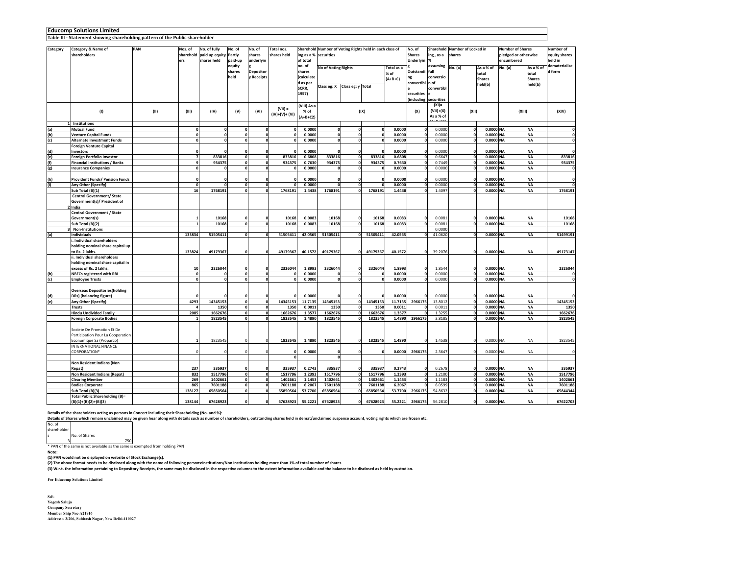**Table III - Statement showing shareholding pattern of the Public shareholder**

|          |                                       | PAN |      |                      |                                      |              |                         |                           |                        | Sharehold Number of Voting Rights held in each class of |                   |              |           |                 |                      |                                         |               |            | Number of                                       |                          |  |
|----------|---------------------------------------|-----|------|----------------------|--------------------------------------|--------------|-------------------------|---------------------------|------------------------|---------------------------------------------------------|-------------------|--------------|-----------|-----------------|----------------------|-----------------------------------------|---------------|------------|-------------------------------------------------|--------------------------|--|
| Category | Category & Name of                    |     |      | Nos. of<br>sharehold | No. of fully                         | No. of       | No. of                  | Total nos.<br>shares held |                        |                                                         |                   |              |           | No. of          |                      | Sharehold Number of Locked in<br>shares |               |            | <b>Number of Shares</b><br>pledged or otherwise |                          |  |
|          | shareholders                          |     |      |                      | paid up equity Partly<br>shares held |              | shares                  |                           | ing as a %<br>of total | securities                                              |                   |              |           | <b>Shares</b>   | ing, as a            |                                         |               |            |                                                 | equity shares<br>held in |  |
|          |                                       |     |      | ers                  |                                      | paid-up      | underlyin               |                           |                        |                                                         |                   |              |           | Underlyin       |                      |                                         |               | encumbered |                                                 |                          |  |
|          |                                       |     |      |                      |                                      | equity       |                         |                           | no. of                 | No of Voting Rights<br>Total as a                       |                   |              |           |                 | assuming             | No. (a)                                 | As a % of     | No. (a)    | As a % of                                       | dematerialise            |  |
|          |                                       |     |      |                      |                                      | shares       | <b>Depositor</b>        |                           | shares                 |                                                         |                   |              | % of      | Outstandi full  |                      |                                         | total         |            | total                                           | d form                   |  |
|          |                                       |     |      |                      |                                      | held         | <b>Receipts</b>         |                           | (calculate             |                                                         |                   |              | $(A+B+C)$ |                 | conversio            |                                         | <b>Shares</b> |            | <b>Shares</b>                                   |                          |  |
|          |                                       |     |      |                      |                                      |              |                         |                           | d as per               | Class eg: X                                             | Class eg: y Total |              |           | convertibl n of |                      |                                         | held(b)       |            | held(b)                                         |                          |  |
|          |                                       |     |      |                      |                                      |              |                         |                           | SCRR.                  |                                                         |                   |              |           |                 | convertibl           |                                         |               |            |                                                 |                          |  |
|          |                                       |     |      |                      |                                      |              |                         |                           | 1957)                  |                                                         |                   |              |           | securities      |                      |                                         |               |            |                                                 |                          |  |
|          |                                       |     |      |                      |                                      |              |                         |                           |                        |                                                         |                   |              |           |                 | including securities |                                         |               |            |                                                 |                          |  |
|          |                                       |     |      |                      |                                      |              |                         | $(VII) =$                 | (VIII) As a            |                                                         |                   |              |           |                 | $(XI) =$             |                                         |               |            |                                                 |                          |  |
|          | (1)                                   |     | (II) | (III)                | (IV)                                 | (V)          | (VI)                    | $(IV)+(V)+(VI)$           | % of                   |                                                         |                   | (IX)         |           | (X)             | $(VII)+(X)$          | (XII)                                   |               | (XIII)     |                                                 | (XIV)                    |  |
|          |                                       |     |      |                      |                                      |              |                         |                           | $(A+B+C2)$             |                                                         |                   |              |           |                 | As a % of            |                                         |               |            |                                                 |                          |  |
| 1        | Institutions                          |     |      |                      |                                      |              |                         |                           |                        |                                                         |                   |              |           |                 |                      |                                         |               |            |                                                 |                          |  |
| (a)      | <b>Mutual Fund</b>                    |     |      | 0                    | 0                                    | $\Omega$     | o                       |                           | 0.0000                 | $\mathbf{0}$                                            | o                 | $\mathbf 0$  | 0.0000    | $\Omega$        | 0.0000               | o                                       | 0.0000 NA     |            | <b>NA</b>                                       | o                        |  |
| (b)      | <b>Venture Capital Funds</b>          |     |      | $\mathbf{0}$         |                                      | $\mathbf{0}$ | $\overline{\mathbf{0}}$ |                           | 0.0000                 | o                                                       | $\mathbf{0}$      | $\mathbf 0$  | 0.0000    | $\mathbf 0$     | 0.0000               | $\mathbf{0}$                            | 0.0000 NA     |            | <b>NA</b>                                       | $\overline{\mathbf{0}}$  |  |
| (c)      | <b>Alternate Investment Funds</b>     |     |      | $\Omega$             |                                      | $\sqrt{2}$   | $\Omega$                |                           | 0.0000                 | $\mathbf{0}$                                            | $\Omega$          | $\mathbf 0$  | 0.0000    | $\mathbf 0$     | 0.0000               | $\Omega$                                | 0.0000 NA     |            | NA                                              | 0                        |  |
|          | <b>Foreign Venture Capital</b>        |     |      |                      |                                      |              |                         |                           |                        |                                                         |                   |              |           |                 |                      |                                         |               |            |                                                 |                          |  |
| (d)      | Investors                             |     |      |                      |                                      | $\Omega$     | O                       |                           | 0.0000                 |                                                         | o                 | $\Omega$     | 0.0000    | $\Omega$        | 0.0000               | $\Omega$                                | 0.0000 NA     |            | NA                                              | o                        |  |
| (e)      | <b>Foreign Portfolio Investor</b>     |     |      | $\overline{ }$       | 833816                               | $\Omega$     |                         | ol<br>833816              | 0.6808                 | 833816                                                  | o                 | 833816       | 0.6808    | $\mathbf{o}$    | 0.6647               | $\mathbf{0}$                            | 0.0000 NA     |            | <b>NA</b>                                       | 833816                   |  |
| (f)      | <b>Financial Institutions / Banks</b> |     |      | 9                    | 934375                               | $\mathbf{0}$ | $\mathbf 0$             | 934375                    | 0.7630                 | 934375                                                  | $\mathbf 0$       | 934375       | 0.7630    | $\mathbf{0}$    | 0.7449               | $\mathbf 0$                             | 0.0000 NA     |            | <b>NA</b>                                       | 934375                   |  |
| (g)      | <b>Insurance Companies</b>            |     |      | $\mathbf{0}$         | $\mathbf 0$                          | $\mathbf{0}$ |                         | ol                        | 0.0000                 | $\mathbf 0$                                             | o                 | $\Omega$     | 0.0000    | $\Omega$        | 0.0000               | $\Omega$                                | 0.0000 NA     |            | <b>NA</b>                                       | 0                        |  |
|          |                                       |     |      |                      |                                      |              |                         |                           |                        |                                                         |                   |              |           |                 |                      |                                         |               |            |                                                 |                          |  |
| (h)      | <b>Provident Funds/ Pension Funds</b> |     |      |                      |                                      | n            | n                       |                           | 0.0000                 | n                                                       | n                 |              | 0.0000    |                 | 0.0000               | $\Omega$                                | 0.0000 NA     |            | NA                                              | o                        |  |
| (i)      | Any Other (Specify)                   |     |      | o                    | o                                    | o            | ol                      |                           | 0.0000                 | $\mathbf{0}$                                            | o                 | $\Omega$     | 0.0000    | $\mathbf 0$     | 0.0000               | o                                       | 0.0000 NA     |            | <b>NA</b>                                       | $\mathbf{0}$             |  |
|          | Sub Total (B)(1)                      |     |      | 16                   | 1768191                              | $\Omega$     | $\mathbf{a}$            | 1768191                   | 1.4438                 | 1768191                                                 | $\Omega$          | 1768191      | 1.4438    | $\Omega$        | 1.4097               | $\mathbf{0}$                            | 0.0000 NA     |            | <b>NA</b>                                       | 1768191                  |  |
|          | <b>Central Government/ State</b>      |     |      |                      |                                      |              |                         |                           |                        |                                                         |                   |              |           |                 |                      |                                         |               |            |                                                 |                          |  |
|          | Government(s)/ President of           |     |      |                      |                                      |              |                         |                           |                        |                                                         |                   |              |           |                 |                      |                                         |               |            |                                                 |                          |  |
|          | 2 India                               |     |      |                      |                                      |              |                         |                           |                        |                                                         |                   |              |           |                 |                      |                                         |               |            |                                                 |                          |  |
|          | Central Government / State            |     |      |                      |                                      |              |                         |                           |                        |                                                         |                   |              |           |                 |                      |                                         |               |            |                                                 |                          |  |
|          | Government(s)                         |     |      |                      | 10168                                |              |                         | 10168                     | 0.0083                 | 10168                                                   |                   | 10168        | 0.0083    | $\Omega$        | 0.0081               |                                         | 0.0000 NA     |            | <b>NA</b>                                       | 10168                    |  |
|          | Sub Total (B)(2)                      |     |      | $\mathbf{1}$         | 10168                                | o            | $\mathbf{0}$            | 10168                     | 0.0083                 | 10168                                                   | $\Omega$          | 10168        | 0.0083    | $\mathbf{o}$    | 0.0081               | o                                       | 0.0000 NA     |            | <b>NA</b>                                       | 10168                    |  |
|          |                                       |     |      |                      |                                      |              |                         |                           |                        |                                                         |                   |              |           |                 |                      |                                         |               |            |                                                 |                          |  |
|          | 3 Non-Institutions                    |     |      |                      |                                      | $\Omega$     |                         |                           |                        |                                                         |                   |              |           |                 | 0.0000               |                                         |               |            |                                                 |                          |  |
| (a)      | Individuals                           |     |      | 133834               | 51505411                             |              |                         | o<br>51505411             | 42.0565                | 51505411                                                | o                 | 51505411     | 42.0565   | $\mathbf{0}$    | 41.0620              | $\mathbf 0$                             | 0.0000 NA     |            | <b>NA</b>                                       | 51499191                 |  |
|          | . Individual shareholders             |     |      |                      |                                      |              |                         |                           |                        |                                                         |                   |              |           |                 |                      |                                         |               |            |                                                 |                          |  |
|          | holding nominal share capital up      |     |      |                      |                                      |              |                         |                           |                        |                                                         |                   |              |           |                 |                      |                                         |               |            |                                                 |                          |  |
|          | to Rs. 2 lakhs.                       |     |      | 133824               | 49179367                             | o            | O                       | 49179367                  | 40.1572                | 49179367                                                | O                 | 49179367     | 40.1572   | $\Omega$        | 39.2076              | $\Omega$                                | 0.0000 NA     |            | NA                                              | 49173147                 |  |
|          | ii. Individual shareholders           |     |      |                      |                                      |              |                         |                           |                        |                                                         |                   |              |           |                 |                      |                                         |               |            |                                                 |                          |  |
|          | holding nominal share capital in      |     |      |                      |                                      |              |                         |                           |                        |                                                         |                   |              |           |                 |                      |                                         |               |            |                                                 |                          |  |
|          | excess of Rs. 2 lakhs.                |     |      | 10                   | 2326044                              | $\Omega$     | O                       | 2326044                   | 1.8993                 | 2326044                                                 | o                 | 2326044      | 1.8993    | $\mathbf{0}$    | 1.8544               | n                                       | 0.0000 NA     |            | NA                                              | 2326044                  |  |
| (b)      | <b>NBFCs registered with RBI</b>      |     |      | $\mathbf{0}$         | $\mathbf{0}$                         | $\mathbf{0}$ | o                       |                           | 0.0000                 | $\mathbf{0}$                                            | o                 | $\mathbf{0}$ | 0.0000    | $\mathbf 0$     | 0.0000               | $\mathbf 0$                             | 0.0000 NA     |            | <b>NA</b>                                       | $\mathbf 0$              |  |
| (c)      | <b>Employee Trusts</b>                |     |      | o                    | $\mathbf{a}$                         | o            |                         | 0                         | 0.0000                 | $\mathbf{0}$                                            | $\mathbf{a}$      | $\Omega$     | 0.0000    | $\Omega$        | 0.0000               | $\mathbf{a}$                            | 0.0000 NA     |            | <b>NA</b>                                       | $\mathbf{0}$             |  |
|          |                                       |     |      |                      |                                      |              |                         |                           |                        |                                                         |                   |              |           |                 |                      |                                         |               |            |                                                 |                          |  |
|          | <b>Overseas Depositories(holding</b>  |     |      |                      |                                      |              |                         |                           |                        |                                                         |                   |              |           |                 |                      |                                         |               |            |                                                 |                          |  |
| (d)      | DRs) (balancing figure)               |     |      |                      |                                      | $\Omega$     |                         |                           | 0.0000                 |                                                         | $\sqrt{2}$        | $\Omega$     | 0.0000    | $\mathbf 0$     | 0.0000               | $\Omega$                                | 0.0000 NA     |            | <b>NA</b>                                       |                          |  |
| (e)      | Any Other (Specify)                   |     |      | 4293                 | 14345153                             | $\mathbf{0}$ | o                       | 14345153                  | 11.7135                | 14345153                                                | οl                | 14345153     | 11.7135   | 2966175         | 13,8012              | $\mathbf{0}$                            | 0.0000 NA     |            | <b>NA</b>                                       | 14345153                 |  |
|          | <b>Trusts</b>                         |     |      |                      | 1350                                 | $\mathbf{0}$ | $\mathbf{0}$            | 1350                      | 0.0011                 | 1350                                                    | $\Omega$          | 1350         | 0.0011    |                 | 0.0011               | o                                       | 0.0000 NA     |            | <b>NA</b>                                       | 1350                     |  |
|          | <b>Hindu Undivided Family</b>         |     |      | 2085                 | 1662676                              | $\mathbf{0}$ |                         | ol<br>1662676             | 1.3577                 | 1662676                                                 | o                 | 1662676      | 1.3577    | $\Omega$        | 1.3255               | $\Omega$                                | 0.0000 NA     |            | <b>NA</b>                                       | 1662676                  |  |
|          | <b>Foreign Corporate Bodies</b>       |     |      |                      | 1823545                              | $\Omega$     |                         | 0l<br>1823545             | 1.4890                 | 1823545                                                 | $\Omega$          | 1823545      | 1.4890    | 2966175         | 3.8185               | $\mathbf{0}$                            | 0.0000 NA     |            | <b>NA</b>                                       | 1823545                  |  |
|          |                                       |     |      |                      |                                      |              |                         |                           |                        |                                                         |                   |              |           |                 |                      |                                         |               |            |                                                 |                          |  |
|          | Societe De Promotion Et De            |     |      |                      |                                      |              |                         |                           |                        |                                                         |                   |              |           |                 |                      |                                         |               |            |                                                 |                          |  |
|          | Participation Pour La Cooperation     |     |      |                      |                                      |              |                         |                           |                        |                                                         |                   |              |           |                 |                      |                                         |               |            |                                                 |                          |  |
|          | Economique Sa (Proparco)              |     |      | $\mathbf{1}$         | 1823545                              | $\Omega$     | $\Omega$                | 1823545                   | 1.4890                 | 1823545                                                 | $\mathbf{0}$      | 1823545      | 1.4890    | $\Omega$        | 1.4538               | $\Omega$                                | 0.0000 NA     |            | NΑ                                              | 1823545                  |  |
|          | INTERNATIONAL FINANCE                 |     |      |                      |                                      |              |                         |                           |                        |                                                         |                   |              |           |                 |                      |                                         |               |            |                                                 |                          |  |
|          | CORPORATION*                          |     |      | $\Omega$             |                                      | $\Omega$     |                         |                           | 0.0000                 | $\Omega$                                                | $\mathbf{0}$      | $\Omega$     | 0.0000    | 2966175         | 2.3647               | $\Omega$                                | $0.0000$ NA   |            | NA                                              | $\Omega$                 |  |
|          |                                       |     |      |                      |                                      |              |                         |                           |                        | $\mathbf{0}$                                            |                   |              |           |                 |                      |                                         |               |            |                                                 |                          |  |
|          | Non Resident Indians (Non             |     |      |                      |                                      |              |                         |                           |                        |                                                         |                   |              |           |                 |                      |                                         |               |            |                                                 |                          |  |
|          | Repat)                                |     |      | 237                  | 335937                               | $\Omega$     | $\Omega$                | 335937                    | 0.2743                 | 335937                                                  | $\Omega$          | 335937       | 0.2743    | $\mathbf 0$     | 0.2678               | $\Omega$                                | 0.0000 NA     |            | NA                                              | 335937                   |  |
|          | Non Resident Indians (Repat)          |     |      | 832                  | 1517796                              | $\mathbf 0$  | ol                      | 1517796                   | 1.2393                 | 1517796                                                 | o                 | 1517796      | 1.2393    | $\mathbf 0$     | 1.2100               | $\mathbf 0$                             | 0.0000 NA     |            | <b>NA</b>                                       | 1517796                  |  |
|          | <b>Clearing Member</b>                |     |      | 269                  | 1402661                              | $\Omega$     | o                       | 1402661                   | 1.1453                 | 1402661                                                 | $\Omega$          | 1402661      | 1.1453    | $\mathbf 0$     | 1.1183               | $\mathbf{0}$                            | 0.0000 NA     |            | <b>NA</b>                                       | 1402661                  |  |
|          | <b>Bodies Corporate</b>               |     |      | 865                  | 7601188                              | o            |                         | ol<br>7601188             | 6.2067                 | 7601188                                                 | o                 | 7601188      | 6.2067    | $\Omega$        | 6.0599               | $\Omega$                                | 0.0000 NA     |            | <b>NA</b>                                       | 7601188                  |  |
|          | Sub Total (B)(3)                      |     |      | 138127               | 65850564                             | $\mathbf{o}$ |                         | ol<br>65850564            | 53.7700                | 65850564                                                | $\Omega$          | 65850564     | 53.7700   | 2966175         | 54.8632              | $\Omega$                                | 0.0000 NA     |            | <b>NA</b>                                       | 65844344                 |  |
|          | Total Public Shareholding (B)=        |     |      |                      |                                      |              |                         |                           |                        |                                                         |                   |              |           |                 |                      |                                         |               |            |                                                 |                          |  |
|          | $(B)(1)+(B)(2)+(B)(3)$                |     |      | 138144               | 67628923                             | $\Omega$     | $\Omega$                | 67628923                  | 55.2221                | 67628923                                                | $\Omega$          | 67628923     | 55.2221   | 2966175         | 56,2810              | $\Omega$                                | 0.0000 NA     |            | <b>NA</b>                                       | 67622703                 |  |

Detalis of the shareholders acting as persons in Concert including their Shareholding (No. and %):<br>Details of Shares which remain undaimed may be given hear along with details such as number of shareholders, outstanding sh

No. of shareholder**No. of Shares** 

<sup>3</sup> <sup>750</sup> \* PAN of the same is not available as the same is exempted from holding PAN

**Note:** 

**(1) PAN would not be displayed on website of Stock Exchange(s).** 

**(2) The above format needs to be disclosed along with the name of following persons:Institutions/Non Institutions holding more than 1% of total number of shares**

**(3) W.r.t. the information pertaining to Depository Receipts, the same may be disclosed in the respective columns to the extent information available and the balance to be disclosed as held by custodian.**

**For Educomp Solutions Limited**

**Sd/- Yogesh Saluja Company Secretary Member Ship No:-A21916Address:- 3/206, Subhash Nagar, New Delhi-110027**